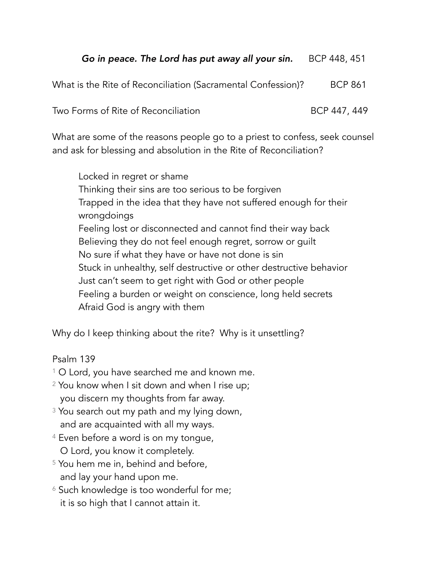## *Go in peace. The Lord has put away all your sin.* BCP 448, 451

What is the Rite of Reconciliation (Sacramental Confession)? BCP 861

Two Forms of Rite of Reconciliation **BCP 447, 449** 

What are some of the reasons people go to a priest to confess, seek counsel and ask for blessing and absolution in the Rite of Reconciliation?

Locked in regret or shame Thinking their sins are too serious to be forgiven Trapped in the idea that they have not suffered enough for their wrongdoings Feeling lost or disconnected and cannot find their way back Believing they do not feel enough regret, sorrow or guilt No sure if what they have or have not done is sin Stuck in unhealthy, self destructive or other destructive behavior Just can't seem to get right with God or other people Feeling a burden or weight on conscience, long held secrets Afraid God is angry with them

Why do I keep thinking about the rite? Why is it unsettling?

Psalm 139

- <sup>1</sup> O Lord, you have searched me and known me.
- 2 You know when I sit down and when I rise up; you discern my thoughts from far away.
- <sup>3</sup> You search out my path and my lying down, and are acquainted with all my ways.
- <sup>4</sup> Even before a word is on my tongue, O Lord, you know it completely.
- <sup>5</sup> You hem me in, behind and before, and lay your hand upon me.
- <sup>6</sup> Such knowledge is too wonderful for me; it is so high that I cannot attain it.